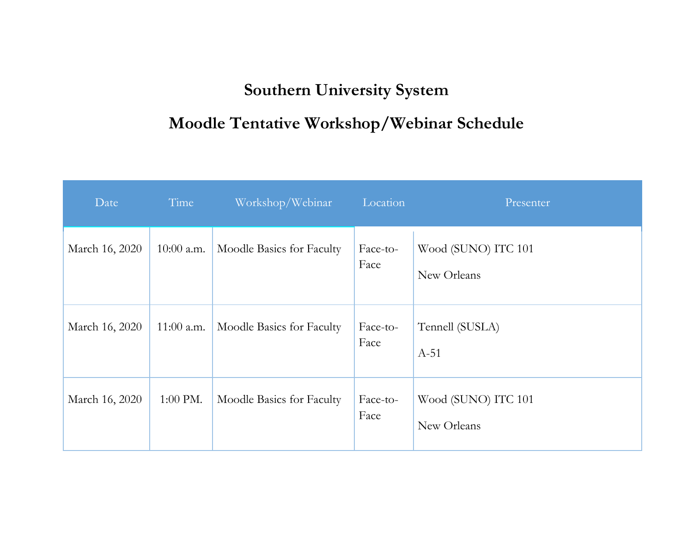## **Southern University System**

## **Moodle Tentative Workshop/Webinar Schedule**

| Date           | Time         | Workshop/Webinar          | Location         | Presenter                          |
|----------------|--------------|---------------------------|------------------|------------------------------------|
| March 16, 2020 | $10:00$ a.m. | Moodle Basics for Faculty | Face-to-<br>Face | Wood (SUNO) ITC 101<br>New Orleans |
| March 16, 2020 | $11:00$ a.m. | Moodle Basics for Faculty | Face-to-<br>Face | Tennell (SUSLA)<br>$A-51$          |
| March 16, 2020 | 1:00 PM.     | Moodle Basics for Faculty | Face-to-<br>Face | Wood (SUNO) ITC 101<br>New Orleans |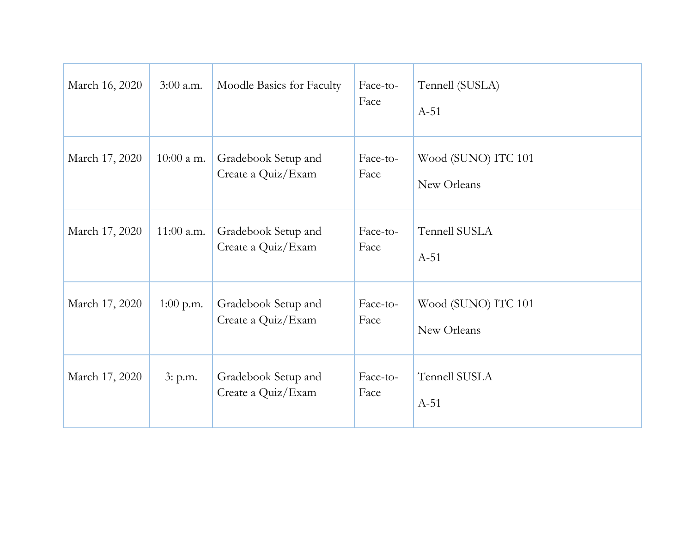| March 16, 2020 | $3:00$ a.m.  | Moodle Basics for Faculty                 | Face-to-<br>Face | Tennell (SUSLA)<br>$A-51$          |
|----------------|--------------|-------------------------------------------|------------------|------------------------------------|
| March 17, 2020 | $10:00$ a m. | Gradebook Setup and<br>Create a Quiz/Exam | Face-to-<br>Face | Wood (SUNO) ITC 101<br>New Orleans |
| March 17, 2020 | $11:00$ a.m. | Gradebook Setup and<br>Create a Quiz/Exam | Face-to-<br>Face | Tennell SUSLA<br>$A-51$            |
| March 17, 2020 | $1:00$ p.m.  | Gradebook Setup and<br>Create a Quiz/Exam | Face-to-<br>Face | Wood (SUNO) ITC 101<br>New Orleans |
| March 17, 2020 | 3: p.m.      | Gradebook Setup and<br>Create a Quiz/Exam | Face-to-<br>Face | Tennell SUSLA<br>$A-51$            |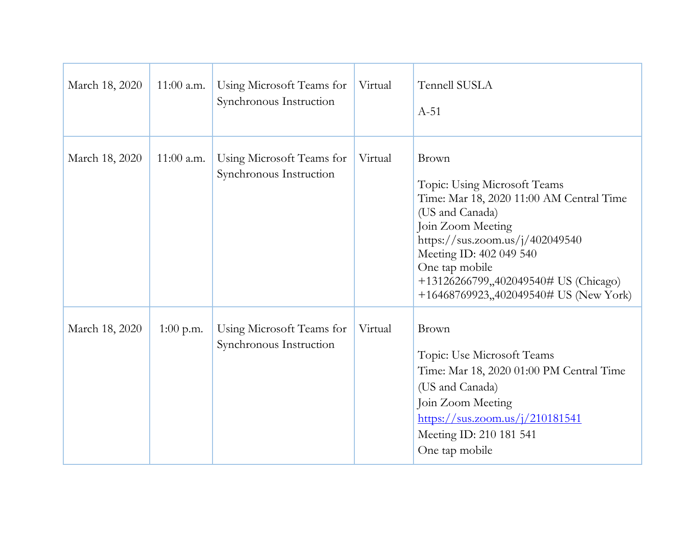| March 18, 2020 | $11:00$ a.m. | Using Microsoft Teams for<br>Synchronous Instruction | Virtual | <b>Tennell SUSLA</b><br>$A-51$                                                                                                                                                                                                                                                               |
|----------------|--------------|------------------------------------------------------|---------|----------------------------------------------------------------------------------------------------------------------------------------------------------------------------------------------------------------------------------------------------------------------------------------------|
| March 18, 2020 | $11:00$ a.m. | Using Microsoft Teams for<br>Synchronous Instruction | Virtual | Brown<br>Topic: Using Microsoft Teams<br>Time: Mar 18, 2020 11:00 AM Central Time<br>(US and Canada)<br>Join Zoom Meeting<br>https://sus.zoom.us/j/402049540<br>Meeting ID: 402 049 540<br>One tap mobile<br>+13126266799,,402049540# US (Chicago)<br>+16468769923,,402049540# US (New York) |
| March 18, 2020 | $1:00$ p.m.  | Using Microsoft Teams for<br>Synchronous Instruction | Virtual | Brown<br>Topic: Use Microsoft Teams<br>Time: Mar 18, 2020 01:00 PM Central Time<br>(US and Canada)<br>Join Zoom Meeting<br>$\frac{\text{https://sus.zoom.us/j/210181541}}{$<br>Meeting ID: 210 181 541<br>One tap mobile                                                                     |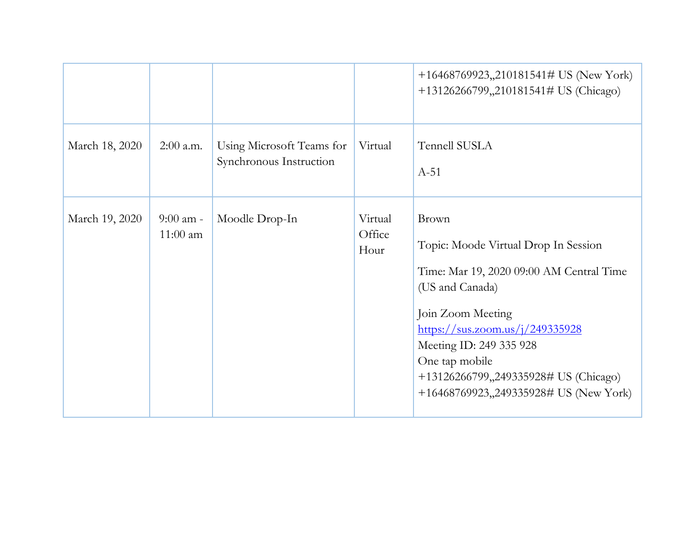|                |                           |                                                      |                           | +16468769923,,210181541# US (New York)<br>+13126266799,,210181541# US (Chicago)                                                                                                                                                                                                                      |
|----------------|---------------------------|------------------------------------------------------|---------------------------|------------------------------------------------------------------------------------------------------------------------------------------------------------------------------------------------------------------------------------------------------------------------------------------------------|
| March 18, 2020 | $2:00$ a.m.               | Using Microsoft Teams for<br>Synchronous Instruction | Virtual                   | Tennell SUSLA<br>$A-51$                                                                                                                                                                                                                                                                              |
| March 19, 2020 | $9:00$ am -<br>$11:00$ am | Moodle Drop-In                                       | Virtual<br>Office<br>Hour | Brown<br>Topic: Moode Virtual Drop In Session<br>Time: Mar 19, 2020 09:00 AM Central Time<br>(US and Canada)<br>Join Zoom Meeting<br>https://sus.zoom.us/j/249335928<br>Meeting ID: 249 335 928<br>One tap mobile<br>+13126266799,,249335928# US (Chicago)<br>+16468769923,,249335928# US (New York) |